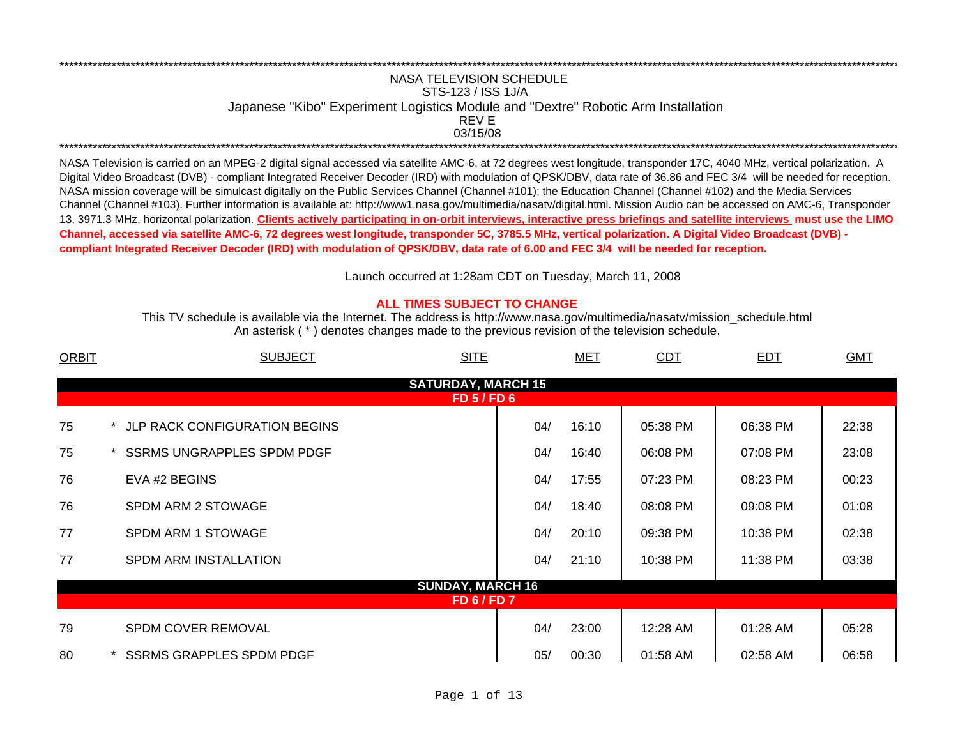## \*\*\*\*\*\*\*\*\*\*\*\*\*\*\*\*\*\*\*\*\*\*\*\*\*\*\*\*\*\*\*\*\*\*\*\*\*\*\*\*\*\*\*\*\*\*\*\*\*\*\*\*\*\*\*\*\*\*\*\*\*\*\*\*\*\*\*\*\*\*\*\*\*\*\*\*\*\*\*\*\*\*\*\*\*\*\*\*\*\*\*\*\*\*\*\*\*\*\*\*\*\*\*\*\*\*\*\*\*\*\*\*\*\*\*\*\*\*\*\*\*\*\*\*\*\*\*\*\*\*\*\*\*\*\*\*\*\*\*\*\*\*\*\*\*\*\*\*\*\*\*\*\*\*\*\*\*\*\*\*\*\*\*\*\*\*\*\*\*\*\*\*\*\*\*\*\* NASA TELEVISION SCHEDULESTS-123 / ISS 1J/A Japanese "Kibo" Experiment Logistics Module and "Dextre" Robotic Arm Installation 03/15/08REV E

\*\*\*\*\*\*\*\*\*\*\*\*\*\*\*\*\*\*\*\*\*\*\*\*\*\*\*\*\*\*\*\*\*\*\*\*\*\*\*\*\*\*\*\*\*\*\*\*\*\*\*\*\*\*\*\*\*\*\*\*\*\*\*\*\*\*\*\*\*\*\*\*\*\*\*\*\*\*\*\*\*\*\*\*\*\*\*\*\*\*\*\*\*\*\*\*\*\*\*\*\*\*\*\*\*\*\*\*\*\*\*\*\*\*\*\*\*\*\*\*\*\*\*\*\*\*\*\*\*\*\*\*\*\*\*\*\*\*\*\*\*\*\*\*\*\*\*\*\*\*\*\*\*\*\*\*\*\*\*\*\*\*\*\*\*\*\*\*\*\*\*\*\*\*\*\*\*

NASA Television is carried on an MPEG-2 digital signal accessed via satellite AMC-6, at 72 degrees west longitude, transponder 17C, 4040 MHz, vertical polarization. A Digital Video Broadcast (DVB) - compliant Integrated Receiver Decoder (IRD) with modulation of QPSK/DBV, data rate of 36.86 and FEC 3/4 will be needed for reception. NASA mission coverage will be simulcast digitally on the Public Services Channel (Channel #101); the Education Channel (Channel #102) and the Media Services Channel (Channel #103). Further information is available at: http://www1.nasa.gov/multimedia/nasatv/digital.html. Mission Audio can be accessed on AMC-6, Transponder 13, 3971.3 MHz, horizontal polarization. **Clients actively participating in on-orbit interviews, interactive press briefings and satellite interviews must use the LIMO Channel, accessed via satellite AMC-6, 72 degrees west longitude, transponder 5C, 3785.5 MHz, vertical polarization. A Digital Video Broadcast (DVB) compliant Integrated Receiver Decoder (IRD) with modulation of QPSK/DBV, data rate of 6.00 and FEC 3/4 will be needed for reception.**

Launch occurred at 1:28am CDT on Tuesday, March 11, 200 8

## **ALL TIMES SUBJECT TO CHANGE**

An asterisk ( \* ) denotes changes made to the previous revision of the television schedule. This TV schedule is available via the Internet. The address is http://www.nasa.gov/multimedia/nasatv/mission\_schedule.html

| <b>ORBIT</b> | <b>SUBJECT</b>                    | <b>SITE</b>               | <b>MET</b> | <b>CDT</b> | <b>EDT</b> | <b>GMT</b> |
|--------------|-----------------------------------|---------------------------|------------|------------|------------|------------|
|              |                                   | <b>SATURDAY, MARCH 15</b> |            |            |            |            |
|              |                                   | <b>FD 5/FD 6</b>          |            |            |            |            |
| 75           | * JLP RACK CONFIGURATION BEGINS   | 04/                       | 16:10      | 05:38 PM   | 06:38 PM   | 22:38      |
| 75           | <b>SSRMS UNGRAPPLES SPDM PDGF</b> | 04/                       | 16:40      | 06:08 PM   | 07:08 PM   | 23:08      |
| 76           | EVA #2 BEGINS                     | 04/                       | 17:55      | 07:23 PM   | 08:23 PM   | 00:23      |
| 76           | SPDM ARM 2 STOWAGE                | 04/                       | 18:40      | 08:08 PM   | 09:08 PM   | 01:08      |
| 77           | SPDM ARM 1 STOWAGE                | 04/                       | 20:10      | 09:38 PM   | 10:38 PM   | 02:38      |
| 77           | <b>SPDM ARM INSTALLATION</b>      | 04/                       | 21:10      | 10:38 PM   | 11:38 PM   | 03:38      |
|              |                                   | <b>SUNDAY, MARCH 16</b>   |            |            |            |            |
|              |                                   | <b>FD 6/FD 7</b>          |            |            |            |            |
| 79           | <b>SPDM COVER REMOVAL</b>         | 04/                       | 23:00      | 12:28 AM   | $01:28$ AM | 05:28      |
| 80           | <b>SSRMS GRAPPLES SPDM PDGF</b>   | 05/                       | 00:30      | 01:58 AM   | 02:58 AM   | 06:58      |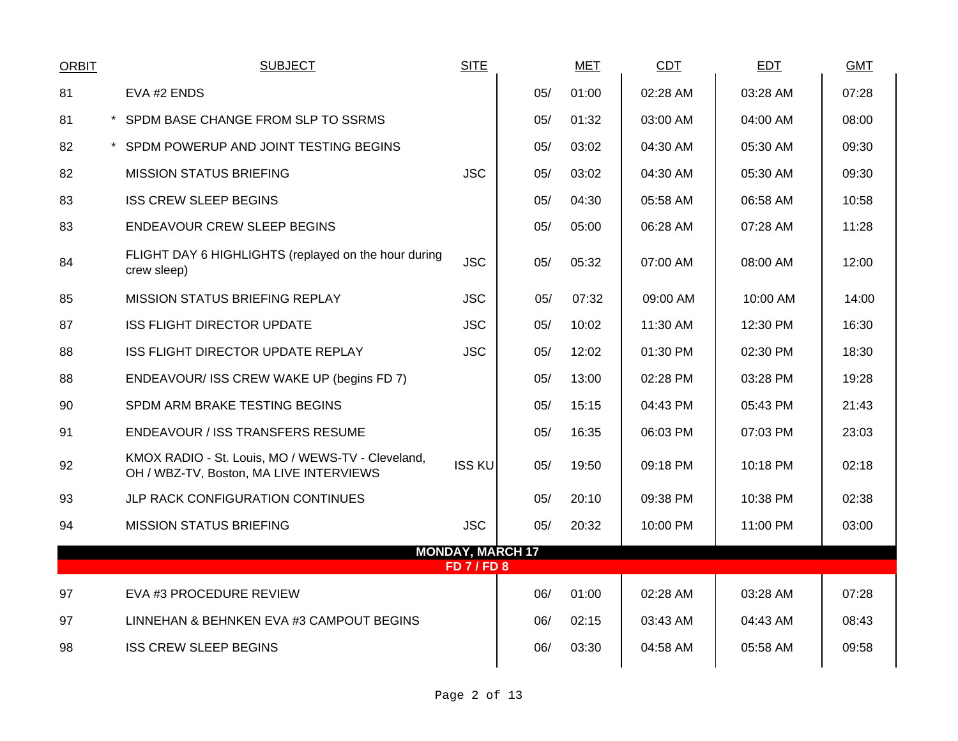| <b>ORBIT</b> | <b>SUBJECT</b>                                                                               | <b>SITE</b>                               |     | <b>MET</b> | CDT      | <b>EDT</b> | <b>GMT</b> |
|--------------|----------------------------------------------------------------------------------------------|-------------------------------------------|-----|------------|----------|------------|------------|
| 81           | EVA #2 ENDS                                                                                  |                                           | 05/ | 01:00      | 02:28 AM | 03:28 AM   | 07:28      |
| 81           | * SPDM BASE CHANGE FROM SLP TO SSRMS                                                         |                                           | 05/ | 01:32      | 03:00 AM | 04:00 AM   | 08:00      |
| 82           | * SPDM POWERUP AND JOINT TESTING BEGINS                                                      |                                           | 05/ | 03:02      | 04:30 AM | 05:30 AM   | 09:30      |
| 82           | <b>MISSION STATUS BRIEFING</b>                                                               | <b>JSC</b>                                | 05/ | 03:02      | 04:30 AM | 05:30 AM   | 09:30      |
| 83           | <b>ISS CREW SLEEP BEGINS</b>                                                                 |                                           | 05/ | 04:30      | 05:58 AM | 06:58 AM   | 10:58      |
| 83           | <b>ENDEAVOUR CREW SLEEP BEGINS</b>                                                           |                                           | 05/ | 05:00      | 06:28 AM | 07:28 AM   | 11:28      |
| 84           | FLIGHT DAY 6 HIGHLIGHTS (replayed on the hour during<br>crew sleep)                          | <b>JSC</b>                                | 05/ | 05:32      | 07:00 AM | 08:00 AM   | 12:00      |
| 85           | <b>MISSION STATUS BRIEFING REPLAY</b>                                                        | <b>JSC</b>                                | 05/ | 07:32      | 09:00 AM | 10:00 AM   | 14:00      |
| 87           | <b>ISS FLIGHT DIRECTOR UPDATE</b>                                                            | <b>JSC</b>                                | 05/ | 10:02      | 11:30 AM | 12:30 PM   | 16:30      |
| 88           | ISS FLIGHT DIRECTOR UPDATE REPLAY                                                            | <b>JSC</b>                                | 05/ | 12:02      | 01:30 PM | 02:30 PM   | 18:30      |
| 88           | ENDEAVOUR/ ISS CREW WAKE UP (begins FD 7)                                                    |                                           | 05/ | 13:00      | 02:28 PM | 03:28 PM   | 19:28      |
| 90           | SPDM ARM BRAKE TESTING BEGINS                                                                |                                           | 05/ | 15:15      | 04:43 PM | 05:43 PM   | 21:43      |
| 91           | <b>ENDEAVOUR / ISS TRANSFERS RESUME</b>                                                      |                                           | 05/ | 16:35      | 06:03 PM | 07:03 PM   | 23:03      |
| 92           | KMOX RADIO - St. Louis, MO / WEWS-TV - Cleveland,<br>OH / WBZ-TV, Boston, MA LIVE INTERVIEWS | <b>ISS KU</b>                             | 05/ | 19:50      | 09:18 PM | 10:18 PM   | 02:18      |
| 93           | JLP RACK CONFIGURATION CONTINUES                                                             |                                           | 05/ | 20:10      | 09:38 PM | 10:38 PM   | 02:38      |
| 94           | <b>MISSION STATUS BRIEFING</b>                                                               | <b>JSC</b>                                | 05/ | 20:32      | 10:00 PM | 11:00 PM   | 03:00      |
|              |                                                                                              | <b>MONDAY, MARCH 17</b><br><b>FD7/FD8</b> |     |            |          |            |            |
| 97           | EVA #3 PROCEDURE REVIEW                                                                      |                                           | 06/ | 01:00      | 02:28 AM | 03:28 AM   | 07:28      |
| 97           | LINNEHAN & BEHNKEN EVA #3 CAMPOUT BEGINS                                                     |                                           | 06/ | 02:15      | 03:43 AM | 04:43 AM   | 08:43      |
| 98           | <b>ISS CREW SLEEP BEGINS</b>                                                                 |                                           | 06/ | 03:30      | 04:58 AM | 05:58 AM   | 09:58      |
|              |                                                                                              |                                           |     |            |          |            |            |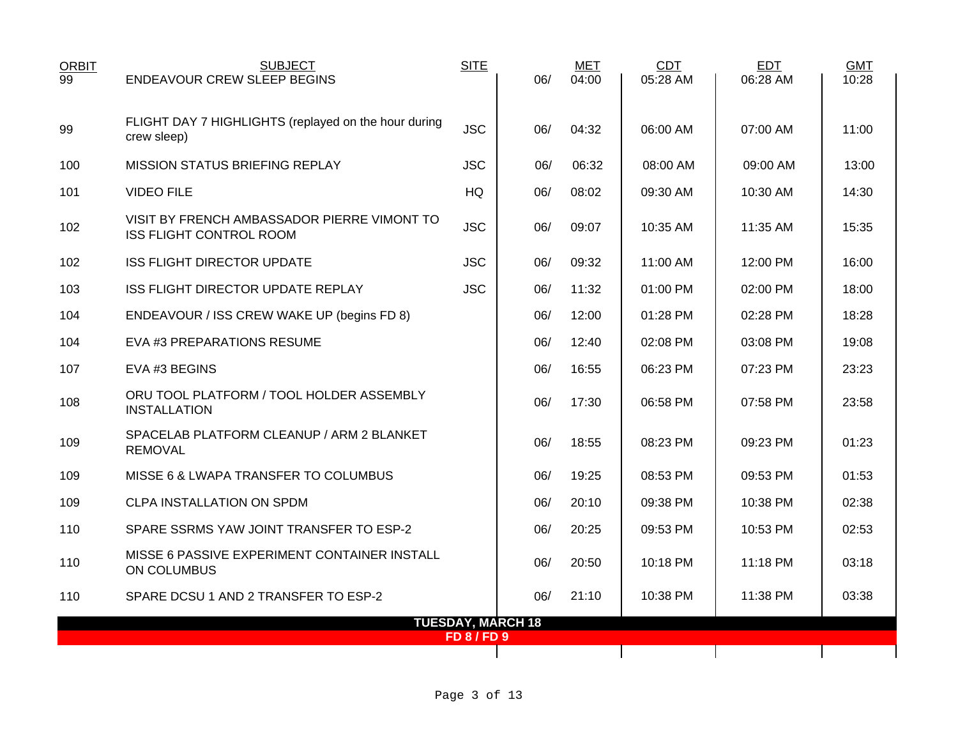| <b>ORBIT</b> | <b>SUBJECT</b>                                                                | <b>SITE</b>        |                          | <b>MET</b> | CDT      | <b>EDT</b> | <b>GMT</b> |
|--------------|-------------------------------------------------------------------------------|--------------------|--------------------------|------------|----------|------------|------------|
| 99           | <b>ENDEAVOUR CREW SLEEP BEGINS</b>                                            |                    | 06/                      | 04:00      | 05:28 AM | 06:28 AM   | 10:28      |
|              |                                                                               |                    |                          |            |          |            |            |
| 99           | FLIGHT DAY 7 HIGHLIGHTS (replayed on the hour during<br>crew sleep)           | <b>JSC</b>         | 06/                      | 04:32      | 06:00 AM | 07:00 AM   | 11:00      |
|              |                                                                               |                    |                          |            |          |            |            |
| 100          | <b>MISSION STATUS BRIEFING REPLAY</b>                                         | <b>JSC</b>         | 06/                      | 06:32      | 08:00 AM | 09:00 AM   | 13:00      |
| 101          | <b>VIDEO FILE</b>                                                             | HQ                 | 06/                      | 08:02      | 09:30 AM | 10:30 AM   | 14:30      |
| 102          | VISIT BY FRENCH AMBASSADOR PIERRE VIMONT TO<br><b>ISS FLIGHT CONTROL ROOM</b> | <b>JSC</b>         | 06/                      | 09:07      | 10:35 AM | 11:35 AM   | 15:35      |
| 102          | ISS FLIGHT DIRECTOR UPDATE                                                    | <b>JSC</b>         | 06/                      | 09:32      | 11:00 AM | 12:00 PM   | 16:00      |
| 103          | ISS FLIGHT DIRECTOR UPDATE REPLAY                                             | <b>JSC</b>         | 06/                      | 11:32      | 01:00 PM | 02:00 PM   | 18:00      |
| 104          | ENDEAVOUR / ISS CREW WAKE UP (begins FD 8)                                    |                    | 06/                      | 12:00      | 01:28 PM | 02:28 PM   | 18:28      |
| 104          | EVA #3 PREPARATIONS RESUME                                                    |                    | 06/                      | 12:40      | 02:08 PM | 03:08 PM   | 19:08      |
| 107          | EVA #3 BEGINS                                                                 |                    | 06/                      | 16:55      | 06:23 PM | 07:23 PM   | 23:23      |
| 108          | ORU TOOL PLATFORM / TOOL HOLDER ASSEMBLY<br><b>INSTALLATION</b>               |                    | 06/                      | 17:30      | 06:58 PM | 07:58 PM   | 23:58      |
| 109          | SPACELAB PLATFORM CLEANUP / ARM 2 BLANKET<br><b>REMOVAL</b>                   |                    | 06/                      | 18:55      | 08:23 PM | 09:23 PM   | 01:23      |
| 109          | MISSE 6 & LWAPA TRANSFER TO COLUMBUS                                          |                    | 06/                      | 19:25      | 08:53 PM | 09:53 PM   | 01:53      |
| 109          | <b>CLPA INSTALLATION ON SPDM</b>                                              |                    | 06/                      | 20:10      | 09:38 PM | 10:38 PM   | 02:38      |
| 110          | SPARE SSRMS YAW JOINT TRANSFER TO ESP-2                                       |                    | 06/                      | 20:25      | 09:53 PM | 10:53 PM   | 02:53      |
| 110          | MISSE 6 PASSIVE EXPERIMENT CONTAINER INSTALL<br>ON COLUMBUS                   |                    | 06/                      | 20:50      | 10:18 PM | 11:18 PM   | 03:18      |
| 110          | SPARE DCSU 1 AND 2 TRANSFER TO ESP-2                                          |                    | 06/                      | 21:10      | 10:38 PM | 11:38 PM   | 03:38      |
|              |                                                                               |                    | <b>TUESDAY, MARCH 18</b> |            |          |            |            |
|              |                                                                               | <b>FD 8 / FD 9</b> |                          |            |          |            |            |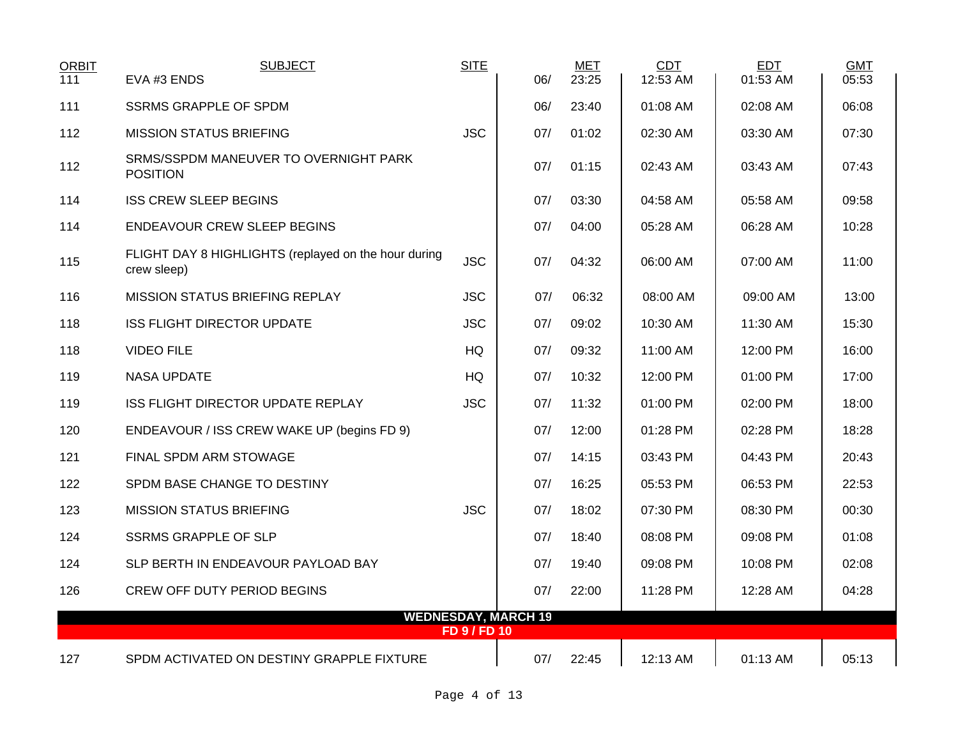| ORBIT<br>111 | <b>SUBJECT</b><br>EVA #3 ENDS                                       | <b>SITE</b>         | 06/                        | <b>MET</b><br>23:25 | CDT<br>12:53 AM | EDT<br>01:53 AM | <b>GMT</b><br>05:53 |
|--------------|---------------------------------------------------------------------|---------------------|----------------------------|---------------------|-----------------|-----------------|---------------------|
| 111          | <b>SSRMS GRAPPLE OF SPDM</b>                                        |                     | 06/                        | 23:40               | 01:08 AM        | 02:08 AM        | 06:08               |
| 112          | <b>MISSION STATUS BRIEFING</b>                                      | <b>JSC</b>          | 07/                        | 01:02               | 02:30 AM        | 03:30 AM        | 07:30               |
| 112          | SRMS/SSPDM MANEUVER TO OVERNIGHT PARK<br><b>POSITION</b>            |                     | 07/                        | 01:15               | 02:43 AM        | 03:43 AM        | 07:43               |
| 114          | <b>ISS CREW SLEEP BEGINS</b>                                        |                     | 07/                        | 03:30               | 04:58 AM        | 05:58 AM        | 09:58               |
| 114          | <b>ENDEAVOUR CREW SLEEP BEGINS</b>                                  |                     | 07/                        | 04:00               | 05:28 AM        | 06:28 AM        | 10:28               |
| 115          | FLIGHT DAY 8 HIGHLIGHTS (replayed on the hour during<br>crew sleep) | <b>JSC</b>          | 07/                        | 04:32               | 06:00 AM        | 07:00 AM        | 11:00               |
| 116          | <b>MISSION STATUS BRIEFING REPLAY</b>                               | <b>JSC</b>          | 07/                        | 06:32               | 08:00 AM        | 09:00 AM        | 13:00               |
| 118          | <b>ISS FLIGHT DIRECTOR UPDATE</b>                                   | <b>JSC</b>          | 07/                        | 09:02               | 10:30 AM        | 11:30 AM        | 15:30               |
| 118          | <b>VIDEO FILE</b>                                                   | <b>HQ</b>           | 07/                        | 09:32               | 11:00 AM        | 12:00 PM        | 16:00               |
| 119          | <b>NASA UPDATE</b>                                                  | HQ                  | 07/                        | 10:32               | 12:00 PM        | 01:00 PM        | 17:00               |
| 119          | ISS FLIGHT DIRECTOR UPDATE REPLAY                                   | <b>JSC</b>          | 07/                        | 11:32               | 01:00 PM        | 02:00 PM        | 18:00               |
| 120          | ENDEAVOUR / ISS CREW WAKE UP (begins FD 9)                          |                     | 07/                        | 12:00               | 01:28 PM        | 02:28 PM        | 18:28               |
| 121          | FINAL SPDM ARM STOWAGE                                              |                     | 07/                        | 14:15               | 03:43 PM        | 04:43 PM        | 20:43               |
| 122          | SPDM BASE CHANGE TO DESTINY                                         |                     | 07/                        | 16:25               | 05:53 PM        | 06:53 PM        | 22:53               |
| 123          | <b>MISSION STATUS BRIEFING</b>                                      | <b>JSC</b>          | 07/                        | 18:02               | 07:30 PM        | 08:30 PM        | 00:30               |
| 124          | <b>SSRMS GRAPPLE OF SLP</b>                                         |                     | 07/                        | 18:40               | 08:08 PM        | 09:08 PM        | 01:08               |
| 124          | SLP BERTH IN ENDEAVOUR PAYLOAD BAY                                  |                     | 07/                        | 19:40               | 09:08 PM        | 10:08 PM        | 02:08               |
| 126          | <b>CREW OFF DUTY PERIOD BEGINS</b>                                  |                     | 07/                        | 22:00               | 11:28 PM        | 12:28 AM        | 04:28               |
|              |                                                                     | <b>FD 9 / FD 10</b> | <b>WEDNESDAY, MARCH 19</b> |                     |                 |                 |                     |
| 127          | SPDM ACTIVATED ON DESTINY GRAPPLE FIXTURE                           |                     | 07/                        | 22:45               | 12:13 AM        | 01:13 AM        | 05:13               |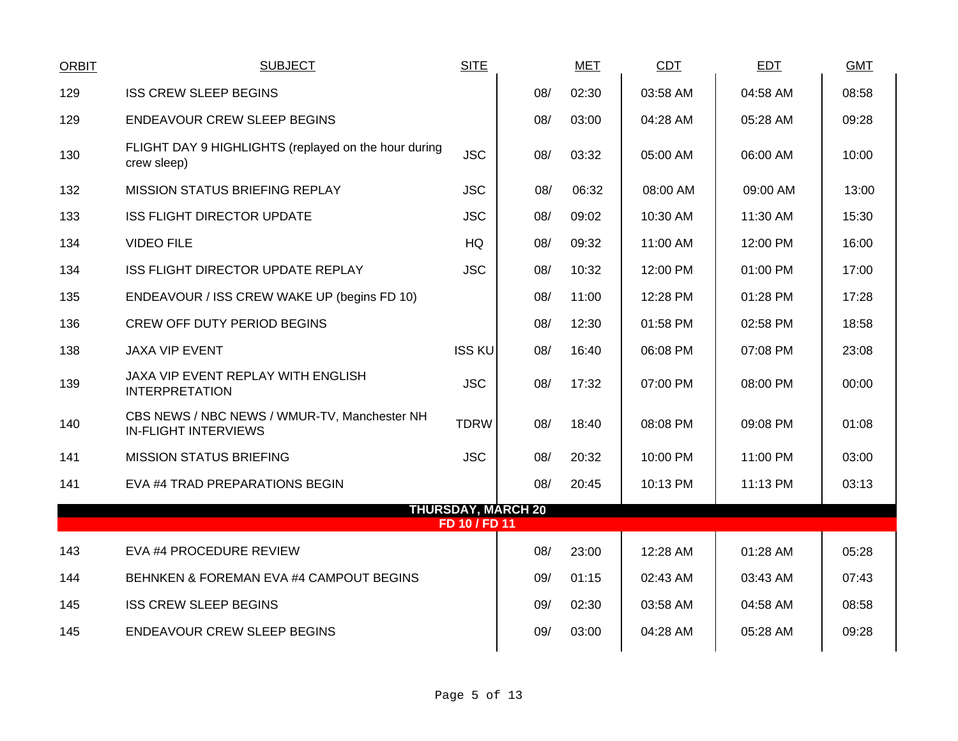| <b>ORBIT</b> | <b>SUBJECT</b>                                                              | <b>SITE</b>                                |     | <b>MET</b> | CDT      | <b>EDT</b> | <b>GMT</b> |
|--------------|-----------------------------------------------------------------------------|--------------------------------------------|-----|------------|----------|------------|------------|
| 129          | <b>ISS CREW SLEEP BEGINS</b>                                                |                                            | 08/ | 02:30      | 03:58 AM | 04:58 AM   | 08:58      |
| 129          | <b>ENDEAVOUR CREW SLEEP BEGINS</b>                                          |                                            | 08/ | 03:00      | 04:28 AM | 05:28 AM   | 09:28      |
| 130          | FLIGHT DAY 9 HIGHLIGHTS (replayed on the hour during<br>crew sleep)         | <b>JSC</b>                                 | 08/ | 03:32      | 05:00 AM | 06:00 AM   | 10:00      |
| 132          | MISSION STATUS BRIEFING REPLAY                                              | <b>JSC</b>                                 | 08/ | 06:32      | 08:00 AM | 09:00 AM   | 13:00      |
| 133          | <b>ISS FLIGHT DIRECTOR UPDATE</b>                                           | <b>JSC</b>                                 | 08/ | 09:02      | 10:30 AM | 11:30 AM   | 15:30      |
| 134          | <b>VIDEO FILE</b>                                                           | HQ                                         | 08/ | 09:32      | 11:00 AM | 12:00 PM   | 16:00      |
| 134          | ISS FLIGHT DIRECTOR UPDATE REPLAY                                           | <b>JSC</b>                                 | 08/ | 10:32      | 12:00 PM | 01:00 PM   | 17:00      |
| 135          | ENDEAVOUR / ISS CREW WAKE UP (begins FD 10)                                 |                                            | 08/ | 11:00      | 12:28 PM | 01:28 PM   | 17:28      |
| 136          | CREW OFF DUTY PERIOD BEGINS                                                 |                                            | 08/ | 12:30      | 01:58 PM | 02:58 PM   | 18:58      |
| 138          | <b>JAXA VIP EVENT</b>                                                       | <b>ISS KU</b>                              | 08/ | 16:40      | 06:08 PM | 07:08 PM   | 23:08      |
| 139          | JAXA VIP EVENT REPLAY WITH ENGLISH<br><b>INTERPRETATION</b>                 | <b>JSC</b>                                 | 08/ | 17:32      | 07:00 PM | 08:00 PM   | 00:00      |
| 140          | CBS NEWS / NBC NEWS / WMUR-TV, Manchester NH<br><b>IN-FLIGHT INTERVIEWS</b> | <b>TDRW</b>                                | 08/ | 18:40      | 08:08 PM | 09:08 PM   | 01:08      |
| 141          | <b>MISSION STATUS BRIEFING</b>                                              | <b>JSC</b>                                 | 08/ | 20:32      | 10:00 PM | 11:00 PM   | 03:00      |
| 141          | EVA #4 TRAD PREPARATIONS BEGIN                                              |                                            | 08/ | 20:45      | 10:13 PM | 11:13 PM   | 03:13      |
|              |                                                                             | <b>THURSDAY, MARCH 20</b><br>FD 10 / FD 11 |     |            |          |            |            |
| 143          | EVA #4 PROCEDURE REVIEW                                                     |                                            | 08/ | 23:00      | 12:28 AM | 01:28 AM   | 05:28      |
| 144          | BEHNKEN & FOREMAN EVA #4 CAMPOUT BEGINS                                     |                                            | 09/ | 01:15      | 02:43 AM | 03:43 AM   | 07:43      |
| 145          | <b>ISS CREW SLEEP BEGINS</b>                                                |                                            | 09/ | 02:30      | 03:58 AM | 04:58 AM   | 08:58      |
| 145          | <b>ENDEAVOUR CREW SLEEP BEGINS</b>                                          |                                            | 09/ | 03:00      | 04:28 AM | 05:28 AM   | 09:28      |
|              |                                                                             |                                            |     |            |          |            |            |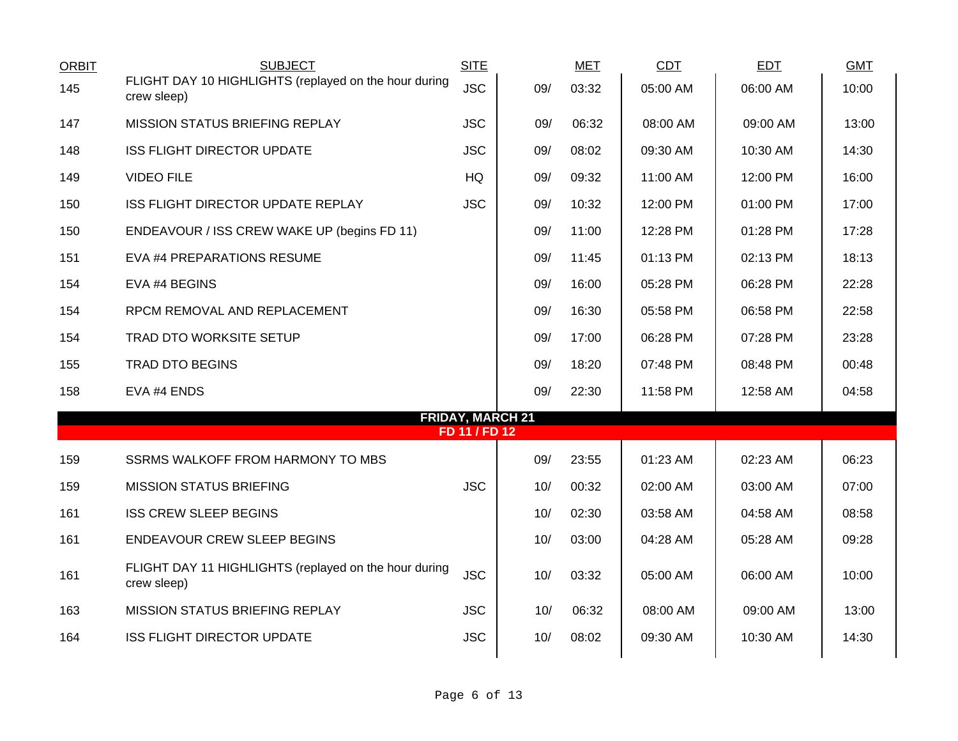| <b>ORBIT</b> | <b>SUBJECT</b>                                                       | <b>SITE</b>                              |     | <b>MET</b> | <b>CDT</b> | <b>EDT</b> | <b>GMT</b> |
|--------------|----------------------------------------------------------------------|------------------------------------------|-----|------------|------------|------------|------------|
| 145          | FLIGHT DAY 10 HIGHLIGHTS (replayed on the hour during<br>crew sleep) | <b>JSC</b>                               | 09/ | 03:32      | 05:00 AM   | 06:00 AM   | 10:00      |
| 147          | MISSION STATUS BRIEFING REPLAY                                       | <b>JSC</b>                               | 09/ | 06:32      | 08:00 AM   | 09:00 AM   | 13:00      |
| 148          | <b>ISS FLIGHT DIRECTOR UPDATE</b>                                    | <b>JSC</b>                               | 09/ | 08:02      | 09:30 AM   | 10:30 AM   | 14:30      |
| 149          | <b>VIDEO FILE</b>                                                    | HQ                                       | 09/ | 09:32      | 11:00 AM   | 12:00 PM   | 16:00      |
| 150          | ISS FLIGHT DIRECTOR UPDATE REPLAY                                    | <b>JSC</b>                               | 09/ | 10:32      | 12:00 PM   | 01:00 PM   | 17:00      |
| 150          | ENDEAVOUR / ISS CREW WAKE UP (begins FD 11)                          |                                          | 09/ | 11:00      | 12:28 PM   | 01:28 PM   | 17:28      |
| 151          | EVA #4 PREPARATIONS RESUME                                           |                                          | 09/ | 11:45      | 01:13 PM   | 02:13 PM   | 18:13      |
| 154          | EVA #4 BEGINS                                                        |                                          | 09/ | 16:00      | 05:28 PM   | 06:28 PM   | 22:28      |
| 154          | RPCM REMOVAL AND REPLACEMENT                                         |                                          | 09/ | 16:30      | 05:58 PM   | 06:58 PM   | 22:58      |
| 154          | TRAD DTO WORKSITE SETUP                                              |                                          | 09/ | 17:00      | 06:28 PM   | 07:28 PM   | 23:28      |
| 155          | <b>TRAD DTO BEGINS</b>                                               |                                          | 09/ | 18:20      | 07:48 PM   | 08:48 PM   | 00:48      |
| 158          | EVA #4 ENDS                                                          |                                          | 09/ | 22:30      | 11:58 PM   | 12:58 AM   | 04:58      |
|              |                                                                      | <b>FRIDAY, MARCH 21</b><br>FD 11 / FD 12 |     |            |            |            |            |
|              |                                                                      |                                          |     |            |            |            |            |
| 159          | SSRMS WALKOFF FROM HARMONY TO MBS                                    |                                          | 09/ | 23:55      | 01:23 AM   | 02:23 AM   | 06:23      |
| 159          | <b>MISSION STATUS BRIEFING</b>                                       | <b>JSC</b>                               | 10/ | 00:32      | 02:00 AM   | 03:00 AM   | 07:00      |
| 161          | <b>ISS CREW SLEEP BEGINS</b>                                         |                                          | 10/ | 02:30      | 03:58 AM   | 04:58 AM   | 08:58      |
| 161          | ENDEAVOUR CREW SLEEP BEGINS                                          |                                          | 10/ | 03:00      | 04:28 AM   | 05:28 AM   | 09:28      |
| 161          | FLIGHT DAY 11 HIGHLIGHTS (replayed on the hour during<br>crew sleep) | <b>JSC</b>                               | 10/ | 03:32      | 05:00 AM   | 06:00 AM   | 10:00      |
| 163          | MISSION STATUS BRIEFING REPLAY                                       | <b>JSC</b>                               | 10/ | 06:32      | 08:00 AM   | 09:00 AM   | 13:00      |
| 164          | <b>ISS FLIGHT DIRECTOR UPDATE</b>                                    | <b>JSC</b>                               | 10/ | 08:02      | 09:30 AM   | 10:30 AM   | 14:30      |
|              |                                                                      |                                          |     |            |            |            |            |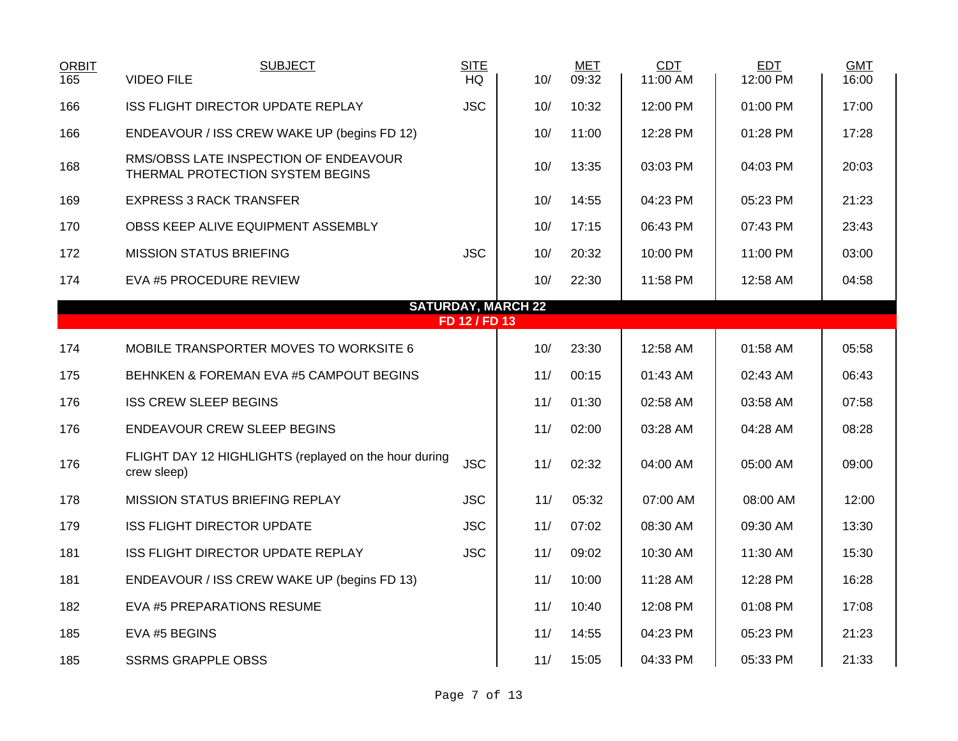| <b>ORBIT</b><br>165 | <b>SUBJECT</b><br><b>VIDEO FILE</b>                                       | <b>SITE</b><br><b>HQ</b> | 10/ | <b>MET</b><br>09:32 | <b>CDT</b><br>11:00 AM | <b>EDT</b><br>12:00 PM | <b>GMT</b><br>16:00 |  |  |  |  |  |
|---------------------|---------------------------------------------------------------------------|--------------------------|-----|---------------------|------------------------|------------------------|---------------------|--|--|--|--|--|
| 166                 | <b>ISS FLIGHT DIRECTOR UPDATE REPLAY</b>                                  | <b>JSC</b>               | 10/ | 10:32               | 12:00 PM               | 01:00 PM               | 17:00               |  |  |  |  |  |
| 166                 | ENDEAVOUR / ISS CREW WAKE UP (begins FD 12)                               |                          | 10/ | 11:00               | 12:28 PM               | 01:28 PM               | 17:28               |  |  |  |  |  |
| 168                 | RMS/OBSS LATE INSPECTION OF ENDEAVOUR<br>THERMAL PROTECTION SYSTEM BEGINS |                          | 10/ | 13:35               | 03:03 PM               | 04:03 PM               | 20:03               |  |  |  |  |  |
| 169                 | <b>EXPRESS 3 RACK TRANSFER</b>                                            |                          | 10/ | 14:55               | 04:23 PM               | 05:23 PM               | 21:23               |  |  |  |  |  |
| 170                 | OBSS KEEP ALIVE EQUIPMENT ASSEMBLY                                        |                          | 10/ | 17:15               | 06:43 PM               | 07:43 PM               | 23:43               |  |  |  |  |  |
| 172                 | <b>MISSION STATUS BRIEFING</b>                                            | <b>JSC</b>               | 10/ | 20:32               | 10:00 PM               | 11:00 PM               | 03:00               |  |  |  |  |  |
| 174                 | EVA #5 PROCEDURE REVIEW                                                   |                          | 10/ | 22:30               | 11:58 PM               | 12:58 AM               | 04:58               |  |  |  |  |  |
|                     | <b>SATURDAY, MARCH 22</b>                                                 |                          |     |                     |                        |                        |                     |  |  |  |  |  |
|                     |                                                                           | FD 12 / FD 13            |     |                     |                        |                        |                     |  |  |  |  |  |
| 174                 | MOBILE TRANSPORTER MOVES TO WORKSITE 6                                    |                          | 10/ | 23:30               | 12:58 AM               | 01:58 AM               | 05:58               |  |  |  |  |  |
| 175                 | BEHNKEN & FOREMAN EVA #5 CAMPOUT BEGINS                                   |                          | 11/ | 00:15               | 01:43 AM               | 02:43 AM               | 06:43               |  |  |  |  |  |
| 176                 | <b>ISS CREW SLEEP BEGINS</b>                                              |                          | 11/ | 01:30               | 02:58 AM               | 03:58 AM               | 07:58               |  |  |  |  |  |
| 176                 | <b>ENDEAVOUR CREW SLEEP BEGINS</b>                                        |                          | 11/ | 02:00               | 03:28 AM               | 04:28 AM               | 08:28               |  |  |  |  |  |
| 176                 | FLIGHT DAY 12 HIGHLIGHTS (replayed on the hour during<br>crew sleep)      | <b>JSC</b>               | 11/ | 02:32               | 04:00 AM               | 05:00 AM               | 09:00               |  |  |  |  |  |
| 178                 | <b>MISSION STATUS BRIEFING REPLAY</b>                                     | <b>JSC</b>               | 11/ | 05:32               | 07:00 AM               | 08:00 AM               | 12:00               |  |  |  |  |  |
| 179                 | <b>ISS FLIGHT DIRECTOR UPDATE</b>                                         | <b>JSC</b>               | 11/ | 07:02               | 08:30 AM               | 09:30 AM               | 13:30               |  |  |  |  |  |
| 181                 | <b>ISS FLIGHT DIRECTOR UPDATE REPLAY</b>                                  | <b>JSC</b>               | 11/ | 09:02               | 10:30 AM               | 11:30 AM               | 15:30               |  |  |  |  |  |
| 181                 | ENDEAVOUR / ISS CREW WAKE UP (begins FD 13)                               |                          | 11/ | 10:00               | 11:28 AM               | 12:28 PM               | 16:28               |  |  |  |  |  |
| 182                 | EVA #5 PREPARATIONS RESUME                                                |                          | 11/ | 10:40               | 12:08 PM               | 01:08 PM               | 17:08               |  |  |  |  |  |
| 185                 | EVA #5 BEGINS                                                             |                          | 11/ | 14:55               | 04:23 PM               | 05:23 PM               | 21:23               |  |  |  |  |  |
| 185                 | <b>SSRMS GRAPPLE OBSS</b>                                                 |                          | 11/ | 15:05               | 04:33 PM               | 05:33 PM               | 21:33               |  |  |  |  |  |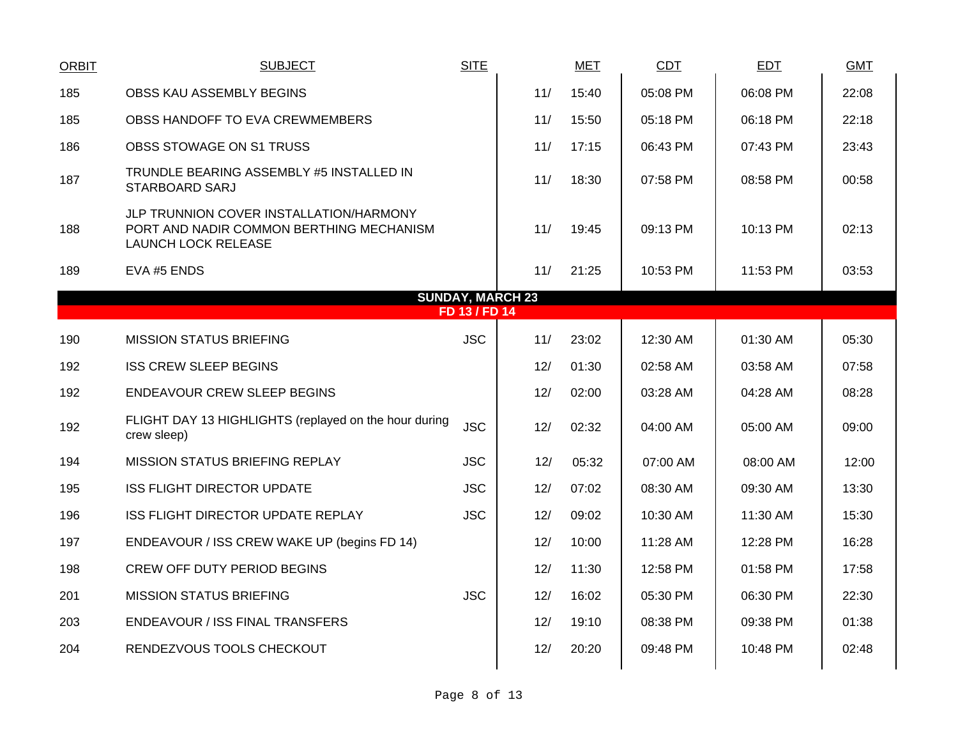| <b>ORBIT</b>                             | <b>SUBJECT</b>                                                                                                    | <b>SITE</b> |     | <b>MET</b> | <b>CDT</b> | <b>EDT</b> | <b>GMT</b> |  |  |  |  |
|------------------------------------------|-------------------------------------------------------------------------------------------------------------------|-------------|-----|------------|------------|------------|------------|--|--|--|--|
| 185                                      | OBSS KAU ASSEMBLY BEGINS                                                                                          |             | 11/ | 15:40      | 05:08 PM   | 06:08 PM   | 22:08      |  |  |  |  |
| 185                                      | OBSS HANDOFF TO EVA CREWMEMBERS                                                                                   |             | 11/ | 15:50      | 05:18 PM   | 06:18 PM   | 22:18      |  |  |  |  |
| 186                                      | OBSS STOWAGE ON S1 TRUSS                                                                                          |             | 11/ | 17:15      | 06:43 PM   | 07:43 PM   | 23:43      |  |  |  |  |
| 187                                      | TRUNDLE BEARING ASSEMBLY #5 INSTALLED IN<br><b>STARBOARD SARJ</b>                                                 |             | 11/ | 18:30      | 07:58 PM   | 08:58 PM   | 00:58      |  |  |  |  |
| 188                                      | JLP TRUNNION COVER INSTALLATION/HARMONY<br>PORT AND NADIR COMMON BERTHING MECHANISM<br><b>LAUNCH LOCK RELEASE</b> |             | 11/ | 19:45      | 09:13 PM   | 10:13 PM   | 02:13      |  |  |  |  |
| 189                                      | EVA #5 ENDS                                                                                                       |             | 11/ | 21:25      | 10:53 PM   | 11:53 PM   | 03:53      |  |  |  |  |
| <b>SUNDAY, MARCH 23</b><br>FD 13 / FD 14 |                                                                                                                   |             |     |            |            |            |            |  |  |  |  |
|                                          |                                                                                                                   |             |     |            |            |            |            |  |  |  |  |
| 190                                      | <b>MISSION STATUS BRIEFING</b>                                                                                    | <b>JSC</b>  | 11/ | 23:02      | 12:30 AM   | 01:30 AM   | 05:30      |  |  |  |  |
| 192                                      | <b>ISS CREW SLEEP BEGINS</b>                                                                                      |             | 12/ | 01:30      | 02:58 AM   | 03:58 AM   | 07:58      |  |  |  |  |
| 192                                      | <b>ENDEAVOUR CREW SLEEP BEGINS</b>                                                                                |             | 12/ | 02:00      | 03:28 AM   | 04:28 AM   | 08:28      |  |  |  |  |
| 192                                      | FLIGHT DAY 13 HIGHLIGHTS (replayed on the hour during<br>crew sleep)                                              | <b>JSC</b>  | 12/ | 02:32      | 04:00 AM   | 05:00 AM   | 09:00      |  |  |  |  |
| 194                                      | <b>MISSION STATUS BRIEFING REPLAY</b>                                                                             | <b>JSC</b>  | 12/ | 05:32      | 07:00 AM   | 08:00 AM   | 12:00      |  |  |  |  |
| 195                                      | <b>ISS FLIGHT DIRECTOR UPDATE</b>                                                                                 | <b>JSC</b>  | 12/ | 07:02      | 08:30 AM   | 09:30 AM   | 13:30      |  |  |  |  |
| 196                                      | <b>ISS FLIGHT DIRECTOR UPDATE REPLAY</b>                                                                          | <b>JSC</b>  | 12/ | 09:02      | 10:30 AM   | 11:30 AM   | 15:30      |  |  |  |  |
| 197                                      | ENDEAVOUR / ISS CREW WAKE UP (begins FD 14)                                                                       |             | 12/ | 10:00      | 11:28 AM   | 12:28 PM   | 16:28      |  |  |  |  |
| 198                                      | <b>CREW OFF DUTY PERIOD BEGINS</b>                                                                                |             | 12/ | 11:30      | 12:58 PM   | 01:58 PM   | 17:58      |  |  |  |  |
| 201                                      | <b>MISSION STATUS BRIEFING</b>                                                                                    | <b>JSC</b>  | 12/ | 16:02      | 05:30 PM   | 06:30 PM   | 22:30      |  |  |  |  |
| 203                                      | ENDEAVOUR / ISS FINAL TRANSFERS                                                                                   |             | 12/ | 19:10      | 08:38 PM   | 09:38 PM   | 01:38      |  |  |  |  |
| 204                                      | RENDEZVOUS TOOLS CHECKOUT                                                                                         |             | 12/ | 20:20      | 09:48 PM   | 10:48 PM   | 02:48      |  |  |  |  |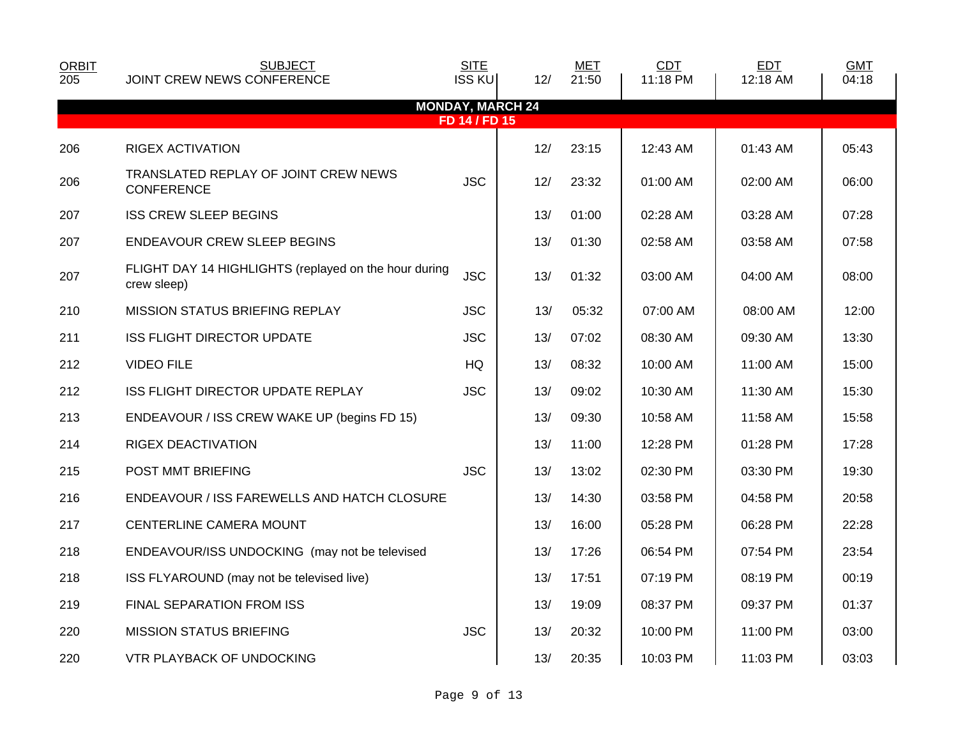| <b>ORBIT</b><br>205 | <b>SUBJECT</b><br>JOINT CREW NEWS CONFERENCE                         | <b>SITE</b><br><b>ISS KU</b> | 12/                     | <b>MET</b><br>21:50 | CDT<br>11:18 PM | <b>EDT</b><br>12:18 AM | <b>GMT</b><br>04:18 |
|---------------------|----------------------------------------------------------------------|------------------------------|-------------------------|---------------------|-----------------|------------------------|---------------------|
|                     |                                                                      |                              | <b>MONDAY, MARCH 24</b> |                     |                 |                        |                     |
|                     |                                                                      | FD 14 / FD 15                |                         |                     |                 |                        |                     |
| 206                 | <b>RIGEX ACTIVATION</b>                                              |                              | 12/                     | 23:15               | 12:43 AM        | 01:43 AM               | 05:43               |
| 206                 | TRANSLATED REPLAY OF JOINT CREW NEWS<br><b>CONFERENCE</b>            | <b>JSC</b>                   | 12/                     | 23:32               | 01:00 AM        | 02:00 AM               | 06:00               |
| 207                 | <b>ISS CREW SLEEP BEGINS</b>                                         |                              | 13/                     | 01:00               | 02:28 AM        | 03:28 AM               | 07:28               |
| 207                 | <b>ENDEAVOUR CREW SLEEP BEGINS</b>                                   |                              | 13/                     | 01:30               | 02:58 AM        | 03:58 AM               | 07:58               |
| 207                 | FLIGHT DAY 14 HIGHLIGHTS (replayed on the hour during<br>crew sleep) | <b>JSC</b>                   | 13/                     | 01:32               | 03:00 AM        | 04:00 AM               | 08:00               |
| 210                 | <b>MISSION STATUS BRIEFING REPLAY</b>                                | <b>JSC</b>                   | 13/                     | 05:32               | 07:00 AM        | 08:00 AM               | 12:00               |
| 211                 | <b>ISS FLIGHT DIRECTOR UPDATE</b>                                    | <b>JSC</b>                   | 13/                     | 07:02               | 08:30 AM        | 09:30 AM               | 13:30               |
| 212                 | <b>VIDEO FILE</b>                                                    | HQ                           | 13/                     | 08:32               | 10:00 AM        | 11:00 AM               | 15:00               |
| 212                 | ISS FLIGHT DIRECTOR UPDATE REPLAY                                    | <b>JSC</b>                   | 13/                     | 09:02               | 10:30 AM        | 11:30 AM               | 15:30               |
| 213                 | ENDEAVOUR / ISS CREW WAKE UP (begins FD 15)                          |                              | 13/                     | 09:30               | 10:58 AM        | 11:58 AM               | 15:58               |
| 214                 | RIGEX DEACTIVATION                                                   |                              | 13/                     | 11:00               | 12:28 PM        | 01:28 PM               | 17:28               |
| 215                 | POST MMT BRIEFING                                                    | <b>JSC</b>                   | 13/                     | 13:02               | 02:30 PM        | 03:30 PM               | 19:30               |
| 216                 | ENDEAVOUR / ISS FAREWELLS AND HATCH CLOSURE                          |                              | 13/                     | 14:30               | 03:58 PM        | 04:58 PM               | 20:58               |
| 217                 | CENTERLINE CAMERA MOUNT                                              |                              | 13/                     | 16:00               | 05:28 PM        | 06:28 PM               | 22:28               |
| 218                 | ENDEAVOUR/ISS UNDOCKING (may not be televised                        |                              | 13/                     | 17:26               | 06:54 PM        | 07:54 PM               | 23:54               |
| 218                 | ISS FLYAROUND (may not be televised live)                            |                              | 13/                     | 17:51               | 07:19 PM        | 08:19 PM               | 00:19               |
| 219                 | FINAL SEPARATION FROM ISS                                            |                              | 13/                     | 19:09               | 08:37 PM        | 09:37 PM               | 01:37               |
| 220                 | <b>MISSION STATUS BRIEFING</b>                                       | <b>JSC</b>                   | 13/                     | 20:32               | 10:00 PM        | 11:00 PM               | 03:00               |
| 220                 | <b>VTR PLAYBACK OF UNDOCKING</b>                                     |                              | 13/                     | 20:35               | 10:03 PM        | 11:03 PM               | 03:03               |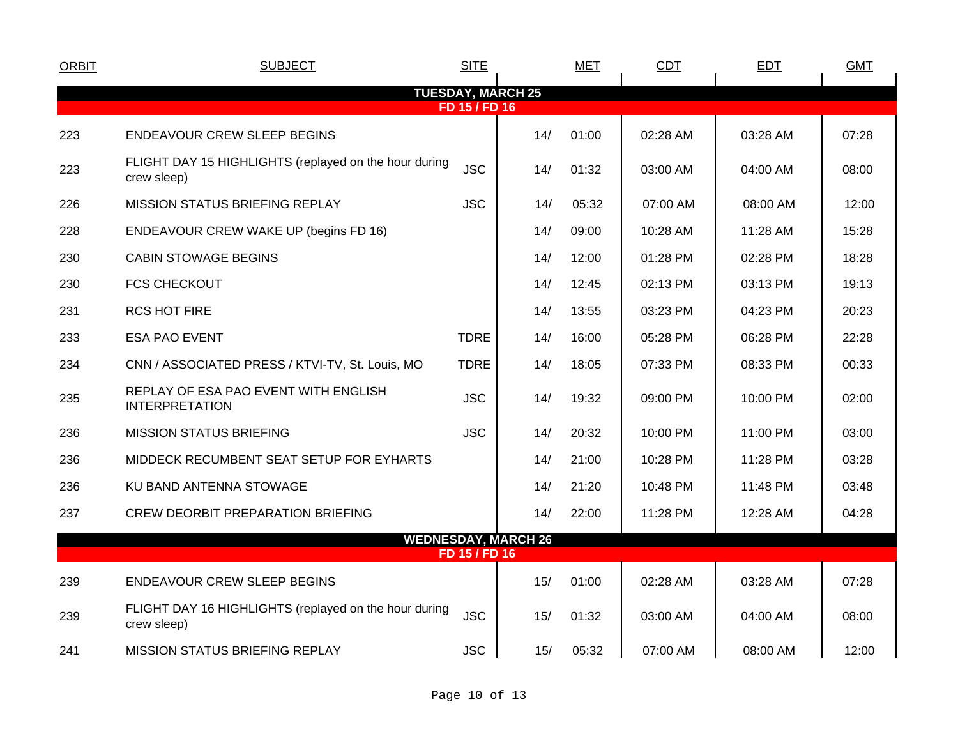| <b>ORBIT</b> | <b>SUBJECT</b>                                                       | <b>SITE</b>   |                            | <b>MET</b> | CDT        | <b>EDT</b> | <b>GMT</b> |
|--------------|----------------------------------------------------------------------|---------------|----------------------------|------------|------------|------------|------------|
|              |                                                                      | FD 15 / FD 16 | <b>TUESDAY, MARCH 25</b>   |            |            |            |            |
| 223          | <b>ENDEAVOUR CREW SLEEP BEGINS</b>                                   |               | 14/                        | 01:00      | 02:28 AM   | 03:28 AM   | 07:28      |
| 223          | FLIGHT DAY 15 HIGHLIGHTS (replayed on the hour during<br>crew sleep) | <b>JSC</b>    | 14/                        | 01:32      | 03:00 AM   | 04:00 AM   | 08:00      |
| 226          | <b>MISSION STATUS BRIEFING REPLAY</b>                                | <b>JSC</b>    | 14/                        | 05:32      | 07:00 AM   | 08:00 AM   | 12:00      |
| 228          | ENDEAVOUR CREW WAKE UP (begins FD 16)                                |               | 14/                        | 09:00      | 10:28 AM   | 11:28 AM   | 15:28      |
| 230          | <b>CABIN STOWAGE BEGINS</b>                                          |               | 14/                        | 12:00      | 01:28 PM   | 02:28 PM   | 18:28      |
| 230          | <b>FCS CHECKOUT</b>                                                  |               | 14/                        | 12:45      | 02:13 PM   | 03:13 PM   | 19:13      |
| 231          | <b>RCS HOT FIRE</b>                                                  |               | 14/                        | 13:55      | 03:23 PM   | 04:23 PM   | 20:23      |
| 233          | <b>ESA PAO EVENT</b>                                                 | <b>TDRE</b>   | 14/                        | 16:00      | 05:28 PM   | 06:28 PM   | 22:28      |
| 234          | CNN / ASSOCIATED PRESS / KTVI-TV, St. Louis, MO                      | <b>TDRE</b>   | 14/                        | 18:05      | 07:33 PM   | 08:33 PM   | 00:33      |
| 235          | REPLAY OF ESA PAO EVENT WITH ENGLISH<br><b>INTERPRETATION</b>        | <b>JSC</b>    | 14/                        | 19:32      | 09:00 PM   | 10:00 PM   | 02:00      |
| 236          | <b>MISSION STATUS BRIEFING</b>                                       | <b>JSC</b>    | 14/                        | 20:32      | $10:00$ PM | 11:00 PM   | 03:00      |
| 236          | MIDDECK RECUMBENT SEAT SETUP FOR EYHARTS                             |               | 14/                        | 21:00      | 10:28 PM   | 11:28 PM   | 03:28      |
| 236          | KU BAND ANTENNA STOWAGE                                              |               | 14/                        | 21:20      | 10:48 PM   | 11:48 PM   | 03:48      |
| 237          | <b>CREW DEORBIT PREPARATION BRIEFING</b>                             |               | 14/                        | 22:00      | 11:28 PM   | 12:28 AM   | 04:28      |
|              |                                                                      | FD 15 / FD 16 | <b>WEDNESDAY, MARCH 26</b> |            |            |            |            |
| 239          | <b>ENDEAVOUR CREW SLEEP BEGINS</b>                                   |               | 15/                        | 01:00      | 02:28 AM   | 03:28 AM   | 07:28      |
| 239          | FLIGHT DAY 16 HIGHLIGHTS (replayed on the hour during<br>crew sleep) | <b>JSC</b>    | 15/                        | 01:32      | 03:00 AM   | 04:00 AM   | 08:00      |
| 241          | <b>MISSION STATUS BRIEFING REPLAY</b>                                | <b>JSC</b>    | 15/                        | 05:32      | 07:00 AM   | 08:00 AM   | 12:00      |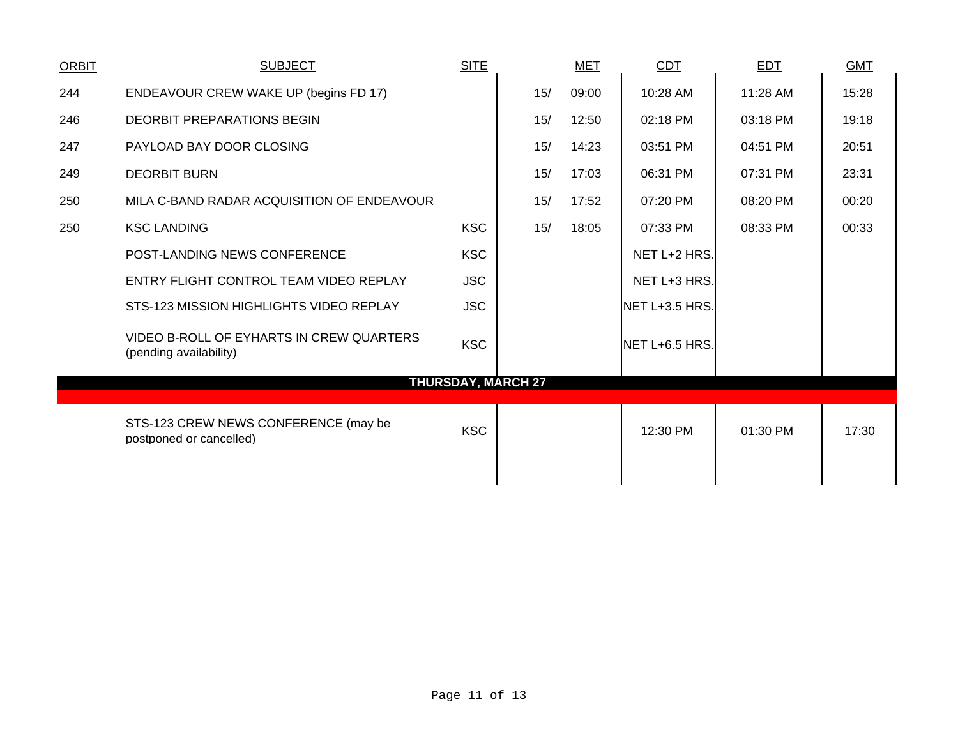| <b>ORBIT</b> | <b>SUBJECT</b>                                                     | <b>SITE</b> |                           | <b>MET</b> | <b>CDT</b>     | <b>EDT</b> | <b>GMT</b> |
|--------------|--------------------------------------------------------------------|-------------|---------------------------|------------|----------------|------------|------------|
| 244          | ENDEAVOUR CREW WAKE UP (begins FD 17)                              |             | 15/                       | 09:00      | 10:28 AM       | 11:28 AM   | 15:28      |
| 246          | <b>DEORBIT PREPARATIONS BEGIN</b>                                  |             | 15/                       | 12:50      | 02:18 PM       | 03:18 PM   | 19:18      |
| 247          | PAYLOAD BAY DOOR CLOSING                                           |             | 15/                       | 14:23      | 03:51 PM       | 04:51 PM   | 20:51      |
| 249          | <b>DEORBIT BURN</b>                                                |             | 15/                       | 17:03      | 06:31 PM       | 07:31 PM   | 23:31      |
| 250          | MILA C-BAND RADAR ACQUISITION OF ENDEAVOUR                         |             | 15/                       | 17:52      | 07:20 PM       | 08:20 PM   | 00:20      |
| 250          | <b>KSC LANDING</b>                                                 | <b>KSC</b>  | 15/                       | 18:05      | 07:33 PM       | 08:33 PM   | 00:33      |
|              | POST-LANDING NEWS CONFERENCE                                       | <b>KSC</b>  |                           |            | NET L+2 HRS.   |            |            |
|              | ENTRY FLIGHT CONTROL TEAM VIDEO REPLAY                             | <b>JSC</b>  |                           |            | NET L+3 HRS.   |            |            |
|              | STS-123 MISSION HIGHLIGHTS VIDEO REPLAY                            | <b>JSC</b>  |                           |            | NET L+3.5 HRS. |            |            |
|              | VIDEO B-ROLL OF EYHARTS IN CREW QUARTERS<br>(pending availability) | <b>KSC</b>  |                           |            | NET L+6.5 HRS. |            |            |
|              |                                                                    |             | <b>THURSDAY, MARCH 27</b> |            |                |            |            |
|              | STS-123 CREW NEWS CONFERENCE (may be<br>postponed or cancelled)    | <b>KSC</b>  |                           |            | 12:30 PM       | 01:30 PM   | 17:30      |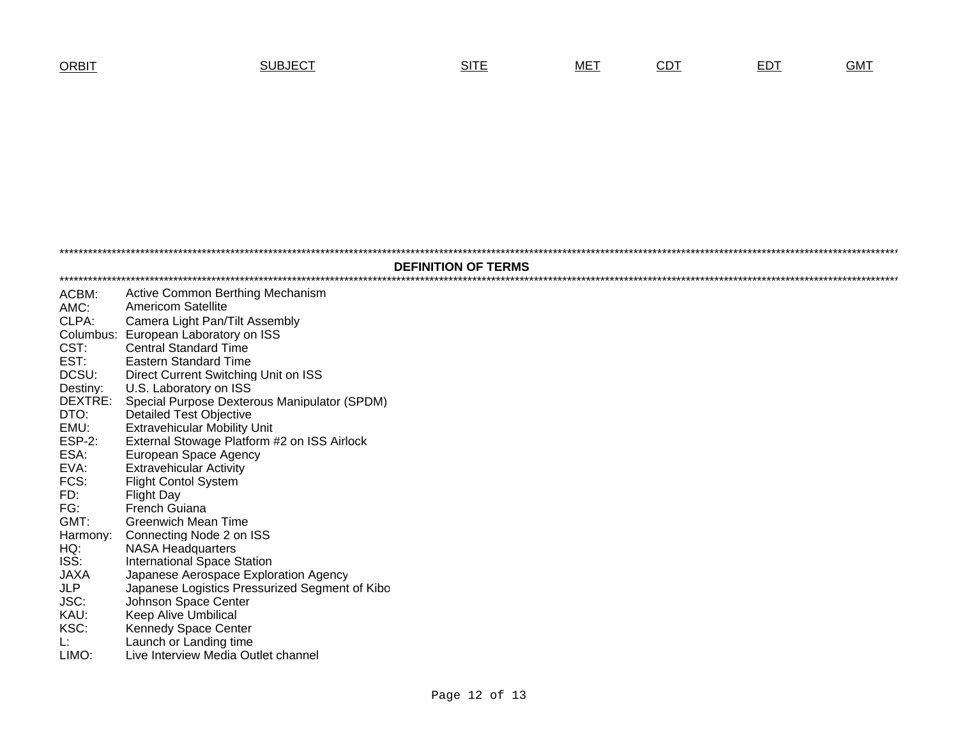## T SUBJECT SITE MET <u>CDT</u> <u>EDT</u> GMT

| <b>DEFINITION OF TERMS</b> |                                                |  |  |  |  |  |  |  |
|----------------------------|------------------------------------------------|--|--|--|--|--|--|--|
| ACBM:                      | Active Common Berthing Mechanism               |  |  |  |  |  |  |  |
| AMC:                       | <b>Americom Satellite</b>                      |  |  |  |  |  |  |  |
| CLPA:                      | Camera Light Pan/Tilt Assembly                 |  |  |  |  |  |  |  |
| Columbus:                  | European Laboratory on ISS                     |  |  |  |  |  |  |  |
| CST:                       | <b>Central Standard Time</b>                   |  |  |  |  |  |  |  |
| EST:                       | <b>Eastern Standard Time</b>                   |  |  |  |  |  |  |  |
| DCSU:                      | Direct Current Switching Unit on ISS           |  |  |  |  |  |  |  |
| Destiny:                   | U.S. Laboratory on ISS                         |  |  |  |  |  |  |  |
| DEXTRE:                    | Special Purpose Dexterous Manipulator (SPDM)   |  |  |  |  |  |  |  |
| DTO:                       | <b>Detailed Test Objective</b>                 |  |  |  |  |  |  |  |
| EMU:                       | <b>Extravehicular Mobility Unit</b>            |  |  |  |  |  |  |  |
| <b>ESP-2:</b>              | External Stowage Platform #2 on ISS Airlock    |  |  |  |  |  |  |  |
| ESA:                       | European Space Agency                          |  |  |  |  |  |  |  |
| EVA:                       | <b>Extravehicular Activity</b>                 |  |  |  |  |  |  |  |
| FCS:                       | <b>Flight Contol System</b>                    |  |  |  |  |  |  |  |
| FD:                        | <b>Flight Day</b>                              |  |  |  |  |  |  |  |
| FG:                        | <b>French Guiana</b>                           |  |  |  |  |  |  |  |
| GMT:                       | <b>Greenwich Mean Time</b>                     |  |  |  |  |  |  |  |
| Harmony:                   | Connecting Node 2 on ISS                       |  |  |  |  |  |  |  |
| HQ:                        | <b>NASA Headquarters</b>                       |  |  |  |  |  |  |  |
| ISS:                       | <b>International Space Station</b>             |  |  |  |  |  |  |  |
| <b>JAXA</b>                | Japanese Aerospace Exploration Agency          |  |  |  |  |  |  |  |
| <b>JLP</b>                 | Japanese Logistics Pressurized Segment of Kibo |  |  |  |  |  |  |  |
| JSC:                       | Johnson Space Center                           |  |  |  |  |  |  |  |
| KAU:                       | Keep Alive Umbilical                           |  |  |  |  |  |  |  |
| KSC:                       | Kennedy Space Center                           |  |  |  |  |  |  |  |
| Ŀ.                         | Launch or Landing time                         |  |  |  |  |  |  |  |
| LIMO:                      | Live Interview Media Outlet channel            |  |  |  |  |  |  |  |